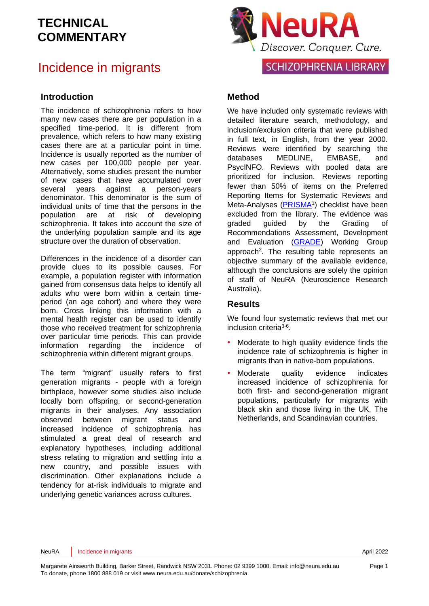### Incidence in migrants

#### **Introduction**

The incidence of schizophrenia refers to how many new cases there are per population in a specified time-period. It is different from prevalence, which refers to how many existing cases there are at a particular point in time. Incidence is usually reported as the number of new cases per 100,000 people per year. Alternatively, some studies present the number of new cases that have accumulated over several years against a person-years denominator. This denominator is the sum of individual units of time that the persons in the population are at risk of developing schizophrenia. It takes into account the size of the underlying population sample and its age structure over the duration of observation.

Differences in the incidence of a disorder can provide clues to its possible causes. For example, a population register with information gained from consensus data helps to identify all adults who were born within a certain timeperiod (an age cohort) and where they were born. Cross linking this information with a mental health register can be used to identify those who received treatment for schizophrenia over particular time periods. This can provide information regarding the incidence of schizophrenia within different migrant groups.

The term "migrant" usually refers to first generation migrants - people with a foreign birthplace, however some studies also include locally born offspring, or second-generation migrants in their analyses. Any association observed between migrant status and increased incidence of schizophrenia has stimulated a great deal of research and explanatory hypotheses, including additional stress relating to migration and settling into a new country, and possible issues with discrimination. Other explanations include a tendency for at-risk individuals to migrate and underlying genetic variances across cultures.



### **Method**

We have included only systematic reviews with detailed literature search, methodology, and inclusion/exclusion criteria that were published in full text, in English, from the year 2000. Reviews were identified by searching the databases MEDLINE, EMBASE, and PsycINFO. Reviews with pooled data are prioritized for inclusion. Reviews reporting fewer than 50% of items on the Preferred Reporting Items for Systematic Reviews and Meta-Analyses [\(PRISMA](http://www.prisma-statement.org/)<sup>1</sup>) checklist have been excluded from the library. The evidence was graded guided by the Grading of Recommendations Assessment, Development and Evaluation [\(GRADE\)](http://www.gradeworkinggroup.org/) Working Group approach<sup>[2](#page-11-1)</sup>. The resulting table represents an objective summary of the available evidence, although the conclusions are solely the opinion of staff of NeuRA (Neuroscience Research Australia).

#### **Results**

We found four systematic reviews that met our inclusion criteria<sup>[3-6](#page-11-2)</sup>.

- Moderate to high quality evidence finds the incidence rate of schizophrenia is higher in migrants than in native-born populations.
- Moderate quality evidence indicates increased incidence of schizophrenia for both first- and second-generation migrant populations, particularly for migrants with black skin and those living in the UK, The Netherlands, and Scandinavian countries.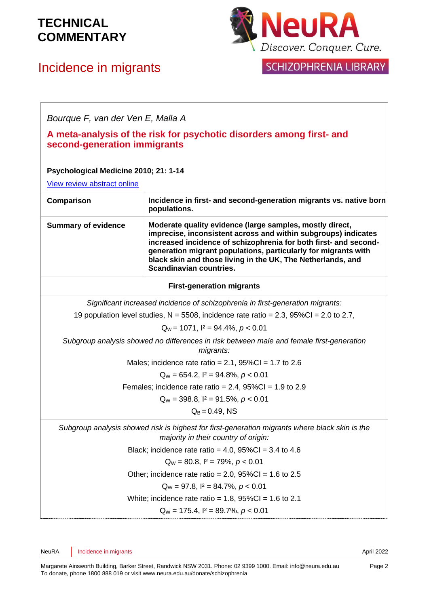# Incidence in migrants



| Bourque F, van der Ven E, Malla A                                                                                                      |                                                                                                                                                                                                                                                                                                                                                            |  |
|----------------------------------------------------------------------------------------------------------------------------------------|------------------------------------------------------------------------------------------------------------------------------------------------------------------------------------------------------------------------------------------------------------------------------------------------------------------------------------------------------------|--|
| A meta-analysis of the risk for psychotic disorders among first- and<br>second-generation immigrants                                   |                                                                                                                                                                                                                                                                                                                                                            |  |
| Psychological Medicine 2010; 21: 1-14                                                                                                  |                                                                                                                                                                                                                                                                                                                                                            |  |
| <b>View review abstract online</b>                                                                                                     |                                                                                                                                                                                                                                                                                                                                                            |  |
| Comparison                                                                                                                             | Incidence in first- and second-generation migrants vs. native born<br>populations.                                                                                                                                                                                                                                                                         |  |
| <b>Summary of evidence</b>                                                                                                             | Moderate quality evidence (large samples, mostly direct,<br>imprecise, inconsistent across and within subgroups) indicates<br>increased incidence of schizophrenia for both first- and second-<br>generation migrant populations, particularly for migrants with<br>black skin and those living in the UK, The Netherlands, and<br>Scandinavian countries. |  |
|                                                                                                                                        | <b>First-generation migrants</b>                                                                                                                                                                                                                                                                                                                           |  |
|                                                                                                                                        | Significant increased incidence of schizophrenia in first-generation migrants:                                                                                                                                                                                                                                                                             |  |
|                                                                                                                                        | 19 population level studies, $N = 5508$ , incidence rate ratio = 2.3, $95\%$ CI = 2.0 to 2.7,                                                                                                                                                                                                                                                              |  |
| $Q_W$ = 1071, $I^2$ = 94.4%, $p < 0.01$                                                                                                |                                                                                                                                                                                                                                                                                                                                                            |  |
| Subgroup analysis showed no differences in risk between male and female first-generation<br>migrants:                                  |                                                                                                                                                                                                                                                                                                                                                            |  |
|                                                                                                                                        | Males; incidence rate ratio = $2.1$ , $95\%$ CI = 1.7 to 2.6                                                                                                                                                                                                                                                                                               |  |
|                                                                                                                                        | $Q_W = 654.2$ , $I^2 = 94.8\%$ , $p < 0.01$                                                                                                                                                                                                                                                                                                                |  |
|                                                                                                                                        | Females; incidence rate ratio = $2.4$ , $95\%$ CI = $1.9$ to $2.9$                                                                                                                                                                                                                                                                                         |  |
|                                                                                                                                        | $Q_W$ = 398.8, $I^2$ = 91.5%, $p < 0.01$                                                                                                                                                                                                                                                                                                                   |  |
| $Q_B = 0.49$ , NS                                                                                                                      |                                                                                                                                                                                                                                                                                                                                                            |  |
| Subgroup analysis showed risk is highest for first-generation migrants where black skin is the<br>majority in their country of origin: |                                                                                                                                                                                                                                                                                                                                                            |  |
| Black; incidence rate ratio = 4.0, $95\%$ Cl = 3.4 to 4.6                                                                              |                                                                                                                                                                                                                                                                                                                                                            |  |
|                                                                                                                                        | $Q_W = 80.8$ , $I^2 = 79\%$ , $p < 0.01$                                                                                                                                                                                                                                                                                                                   |  |
| Other; incidence rate ratio = $2.0$ , $95\%$ CI = 1.6 to 2.5                                                                           |                                                                                                                                                                                                                                                                                                                                                            |  |
| $Q_W = 97.8$ , $I^2 = 84.7\%$ , $p < 0.01$                                                                                             |                                                                                                                                                                                                                                                                                                                                                            |  |
| White; incidence rate ratio = $1.8$ , $95\%$ Cl = $1.6$ to 2.1                                                                         |                                                                                                                                                                                                                                                                                                                                                            |  |
| $Q_W$ = 175.4, $I^2$ = 89.7%, $p < 0.01$                                                                                               |                                                                                                                                                                                                                                                                                                                                                            |  |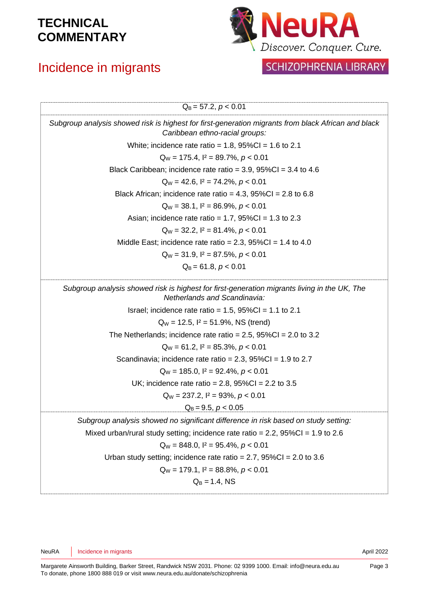# Incidence in migrants



| $Q_B = 57.2, p < 0.01$                                                                                                                |
|---------------------------------------------------------------------------------------------------------------------------------------|
| Subgroup analysis showed risk is highest for first-generation migrants from black African and black<br>Caribbean ethno-racial groups: |
| White; incidence rate ratio = $1.8$ , $95\%$ Cl = $1.6$ to 2.1                                                                        |
| $Q_W$ = 175.4, $I^2$ = 89.7%, $p < 0.01$                                                                                              |
| Black Caribbean; incidence rate ratio = $3.9,95\%$ CI = $3.4$ to $4.6$                                                                |
| $Q_W = 42.6$ , $I^2 = 74.2\%$ , $p < 0.01$                                                                                            |
| Black African; incidence rate ratio = $4.3$ , $95\%$ Cl = $2.8$ to 6.8                                                                |
| $Q_W = 38.1$ , $I^2 = 86.9\%$ , $p < 0.01$                                                                                            |
| Asian; incidence rate ratio = 1.7, $95\%$ CI = 1.3 to 2.3                                                                             |
| $Q_W = 32.2$ , $I^2 = 81.4\%$ , $p < 0.01$                                                                                            |
| Middle East; incidence rate ratio = $2.3$ , $95\%$ Cl = 1.4 to 4.0                                                                    |
| $Q_W = 31.9$ , $I^2 = 87.5\%$ , $p < 0.01$                                                                                            |
| $Q_B = 61.8, p < 0.01$                                                                                                                |
| Subgroup analysis showed risk is highest for first-generation migrants living in the UK, The<br>Netherlands and Scandinavia:          |
| Israel; incidence rate ratio = $1.5$ , $95\%$ Cl = $1.1$ to 2.1                                                                       |
| $Q_W = 12.5$ , $I^2 = 51.9\%$ , NS (trend)                                                                                            |
| The Netherlands; incidence rate ratio = $2.5$ , $95\%$ Cl = $2.0$ to 3.2                                                              |
| $Q_W = 61.2$ , $I^2 = 85.3\%$ , $p < 0.01$                                                                                            |
| Scandinavia; incidence rate ratio = $2.3$ , $95\%$ CI = 1.9 to 2.7                                                                    |
| $Q_W$ = 185.0, $I^2$ = 92.4%, $p < 0.01$                                                                                              |
| UK; incidence rate ratio = 2.8, $95\%$ CI = 2.2 to 3.5                                                                                |
| $Q_W = 237.2$ , $I^2 = 93\%$ , $p < 0.01$                                                                                             |
| $Q_B = 9.5, p < 0.05$                                                                                                                 |
| Subgroup analysis showed no significant difference in risk based on study setting:                                                    |
| Mixed urban/rural study setting; incidence rate ratio = 2.2, $95\%CI = 1.9$ to 2.6                                                    |
| $Q_W = 848.0$ , $I^2 = 95.4\%$ , $p < 0.01$                                                                                           |
| Urban study setting; incidence rate ratio = 2.7, $95\%CI = 2.0$ to 3.6                                                                |
| $Q_W$ = 179.1, $I^2$ = 88.8%, $p < 0.01$                                                                                              |
| $Q_B = 1.4$ , NS                                                                                                                      |
|                                                                                                                                       |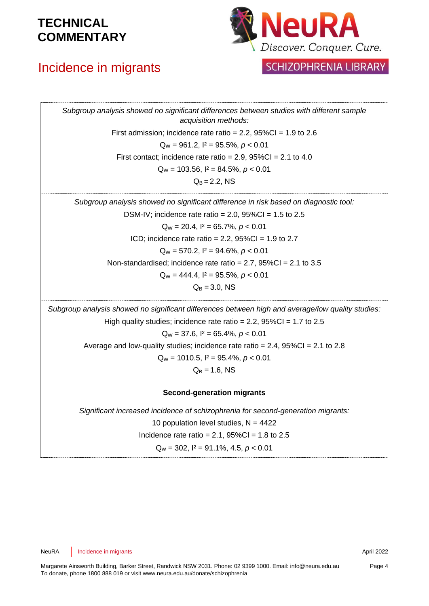# Incidence in migrants



### **SCHIZOPHRENIA LIBRARY**

*Subgroup analysis showed no significant differences between studies with different sample acquisition methods:*  First admission; incidence rate ratio =  $2.2$ ,  $95\%$ CI =  $1.9$  to  $2.6$ Q<sup>W</sup> = 961.2, I² = 95.5%, *p* < 0.01 First contact; incidence rate ratio =  $2.9$ ,  $95\%$ CI =  $2.1$  to  $4.0$ Q<sup>W</sup> = 103.56, I² = 84.5%, *p* < 0.01  $Q_B = 2.2$ , NS *Subgroup analysis showed no significant difference in risk based on diagnostic tool:* DSM-IV; incidence rate ratio =  $2.0$ ,  $95\%$ CI =  $1.5$  to  $2.5$ Q<sup>W</sup> = 20.4, I² = 65.7%, *p* < 0.01 ICD; incidence rate ratio =  $2.2$ ,  $95\%$ CI =  $1.9$  to  $2.7$ Q<sup>W</sup> = 570.2, I² = 94.6%, *p* < 0.01 Non-standardised; incidence rate ratio =  $2.7$ ,  $95\%$ CI =  $2.1$  to  $3.5$ Q<sup>W</sup> = 444.4, I² = 95.5%, *p* < 0.01  $Q_B = 3.0$ , NS *Subgroup analysis showed no significant differences between high and average/low quality studies:*  High quality studies; incidence rate ratio =  $2.2$ ,  $95\%$ CI =  $1.7$  to  $2.5$ Q<sup>W</sup> = 37.6, I² = 65.4%, *p* < 0.01 Average and low-quality studies; incidence rate ratio =  $2.4$ ,  $95\%$ CI =  $2.1$  to  $2.8$ Q<sup>W</sup> = 1010.5, I² = 95.4%, *p* < 0.01  $Q_B = 1.6$ , NS **Second-generation migrants** *Significant increased incidence of schizophrenia for second-generation migrants:* 10 population level studies,  $N = 4422$ Incidence rate ratio =  $2.1$ ,  $95\%$ CI =  $1.8$  to  $2.5$ Q<sup>W</sup> = 302, I² = 91.1%, 4.5, *p* < 0.01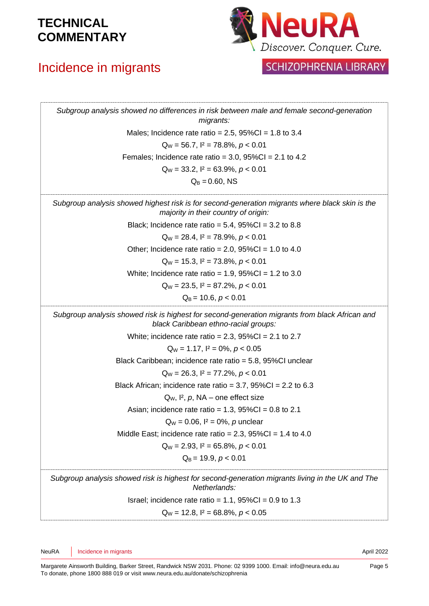# Incidence in migrants



| Subgroup analysis showed no differences in risk between male and female second-generation<br>migrants:                                  |
|-----------------------------------------------------------------------------------------------------------------------------------------|
| Males; Incidence rate ratio = $2.5$ , $95\%$ CI = 1.8 to 3.4                                                                            |
| $Q_W = 56.7$ , $I^2 = 78.8\%$ , $p < 0.01$                                                                                              |
| Females; Incidence rate ratio = $3.0$ , $95\%$ CI = $2.1$ to 4.2                                                                        |
| $Q_W = 33.2$ , $I^2 = 63.9\%$ , $p < 0.01$                                                                                              |
| $Q_B = 0.60$ , NS                                                                                                                       |
| Subgroup analysis showed highest risk is for second-generation migrants where black skin is the<br>majority in their country of origin: |
| Black; Incidence rate ratio = $5.4$ , $95\%$ Cl = $3.2$ to $8.8$                                                                        |
| $Q_W = 28.4$ , $I^2 = 78.9\%$ , $p < 0.01$                                                                                              |
| Other; Incidence rate ratio = $2.0$ , $95\%$ CI = 1.0 to 4.0                                                                            |
| $Q_W = 15.3$ , $I^2 = 73.8\%$ , $p < 0.01$                                                                                              |
| White; Incidence rate ratio = $1.9$ , $95\%$ CI = $1.2$ to 3.0                                                                          |
| $Q_W = 23.5$ , $I^2 = 87.2\%$ , $p < 0.01$                                                                                              |
| $Q_B$ = 10.6, $p < 0.01$                                                                                                                |
| Subgroup analysis showed risk is highest for second-generation migrants from black African and<br>black Caribbean ethno-racial groups:  |
| White; incidence rate ratio = $2.3$ , $95\%$ Cl = $2.1$ to $2.7$                                                                        |
| $Q_W = 1.17$ , $I^2 = 0\%$ , $p < 0.05$                                                                                                 |
| Black Caribbean; incidence rate ratio = 5.8, 95%CI unclear                                                                              |
| $Q_W = 26.3$ , $I^2 = 77.2\%$ , $p < 0.01$                                                                                              |
| Black African; incidence rate ratio = $3.7$ , $95\%$ Cl = $2.2$ to 6.3                                                                  |
| $Q_W$ , $I^2$ , $p$ , NA – one effect size                                                                                              |
| Asian; incidence rate ratio = $1.3$ , $95\%$ Cl = 0.8 to 2.1                                                                            |
| $Q_W = 0.06$ , $I^2 = 0\%$ , p unclear                                                                                                  |
| Middle East; incidence rate ratio = $2.3$ , $95\%$ Cl = 1.4 to 4.0                                                                      |
| $Q_W = 2.93$ , $I^2 = 65.8\%$ , $p < 0.01$                                                                                              |
| $Q_B$ = 19.9, $p < 0.01$                                                                                                                |
| Subgroup analysis showed risk is highest for second-generation migrants living in the UK and The<br>Netherlands:                        |
| Israel; incidence rate ratio = $1.1$ , $95\%$ CI = 0.9 to 1.3                                                                           |
| $Q_W = 12.8$ , $I^2 = 68.8\%$ , $p < 0.05$                                                                                              |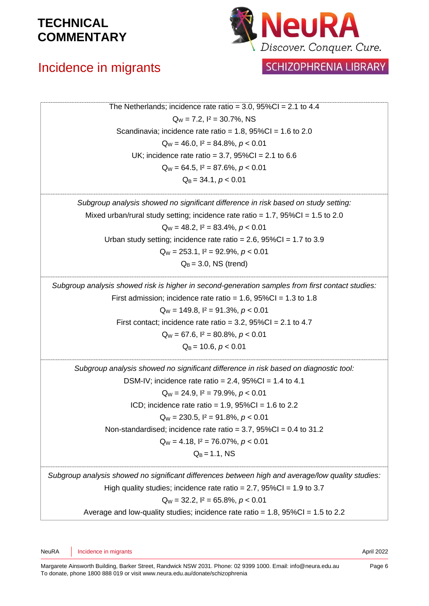# Incidence in migrants



| The Netherlands; incidence rate ratio = $3.0$ , $95\%$ Cl = 2.1 to 4.4                            |  |
|---------------------------------------------------------------------------------------------------|--|
|                                                                                                   |  |
| $Q_W = 7.2$ , $I^2 = 30.7\%$ , NS                                                                 |  |
| Scandinavia; incidence rate ratio = $1.8$ , $95\%$ CI = $1.6$ to 2.0                              |  |
| $Q_W = 46.0$ , $I^2 = 84.8\%$ , $p < 0.01$                                                        |  |
| UK; incidence rate ratio = 3.7, $95\%$ CI = 2.1 to 6.6                                            |  |
| $Q_W = 64.5$ , $I^2 = 87.6\%$ , $p < 0.01$                                                        |  |
| $Q_B = 34.1, p < 0.01$                                                                            |  |
| Subgroup analysis showed no significant difference in risk based on study setting:                |  |
| Mixed urban/rural study setting; incidence rate ratio = $1.7$ , $95\%CI = 1.5$ to 2.0             |  |
| $Q_W = 48.2$ , $I^2 = 83.4\%$ , $p < 0.01$                                                        |  |
| Urban study setting; incidence rate ratio = 2.6, $95\%CI = 1.7$ to 3.9                            |  |
| $Q_W = 253.1$ , $I^2 = 92.9\%$ , $p < 0.01$                                                       |  |
| $Q_B$ = 3.0, NS (trend)                                                                           |  |
| Subgroup analysis showed risk is higher in second-generation samples from first contact studies:  |  |
| First admission; incidence rate ratio = $1.6$ , $95\%$ CI = $1.3$ to $1.8$                        |  |
| $Q_W = 149.8$ , $I^2 = 91.3\%$ , $p < 0.01$                                                       |  |
| First contact; incidence rate ratio = $3.2$ , $95\%$ CI = $2.1$ to 4.7                            |  |
| $Q_W = 67.6$ , $I^2 = 80.8\%$ , $p < 0.01$                                                        |  |
| $Q_B$ = 10.6, $p < 0.01$                                                                          |  |
| Subgroup analysis showed no significant difference in risk based on diagnostic tool:              |  |
| DSM-IV; incidence rate ratio = $2.4$ , $95\%$ CI = 1.4 to 4.1                                     |  |
| $Q_W = 24.9$ , $I^2 = 79.9\%$ , $p < 0.01$                                                        |  |
| ICD; incidence rate ratio = $1.9$ , $95\%$ CI = $1.6$ to 2.2                                      |  |
| $Q_W = 230.5$ , $I^2 = 91.8\%$ , $p < 0.01$                                                       |  |
| Non-standardised; incidence rate ratio = $3.7$ , $95\%$ CI = 0.4 to 31.2                          |  |
| $Q_W = 4.18$ , $I^2 = 76.07\%$ , $p < 0.01$                                                       |  |
| $Q_B = 1.1$ , NS                                                                                  |  |
| Subgroup analysis showed no significant differences between high and average/low quality studies: |  |
| High quality studies; incidence rate ratio = 2.7, $95\%CI = 1.9$ to 3.7                           |  |
| $Q_W = 32.2$ , $I^2 = 65.8\%$ , $p < 0.01$                                                        |  |
| Average and low-quality studies; incidence rate ratio = $1.8$ , $95\%$ Cl = $1.5$ to 2.2          |  |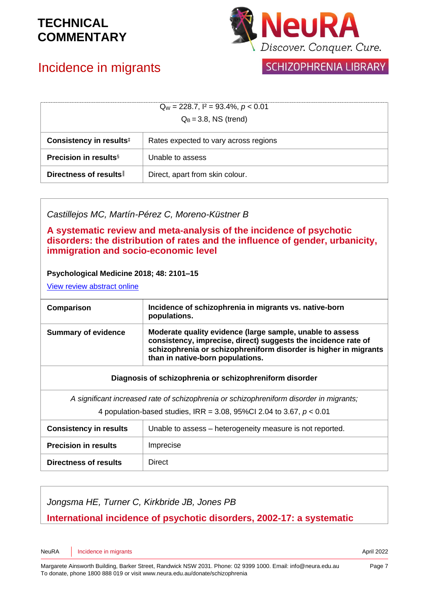

# Incidence in migrants

| <b>SCHIZOPHRENIA LIBRARY</b> |  |  |
|------------------------------|--|--|
|------------------------------|--|--|

| $Q_W = 228.7$ , $I^2 = 93.4\%$ , $p < 0.01$<br>$Q_B = 3.8$ , NS (trend) |                                       |
|-------------------------------------------------------------------------|---------------------------------------|
| Consistency in results <sup>#</sup>                                     | Rates expected to vary across regions |
| <b>Precision in results</b> <sup>§</sup>                                | Unable to assess                      |
| Directness of results                                                   | Direct, apart from skin colour.       |

*Castillejos MC, Martín-Pérez C, Moreno-Küstner B*

**A systematic review and meta-analysis of the incidence of psychotic disorders: the distribution of rates and the influence of gender, urbanicity, immigration and socio-economic level**

#### **Psychological Medicine 2018; 48: 2101–15**

[View review abstract online](https://pubmed.ncbi.nlm.nih.gov/29467052/)

| Comparison                 | Incidence of schizophrenia in migrants vs. native-born<br>populations.                                                                                                                                                              |
|----------------------------|-------------------------------------------------------------------------------------------------------------------------------------------------------------------------------------------------------------------------------------|
| <b>Summary of evidence</b> | Moderate quality evidence (large sample, unable to assess<br>consistency, imprecise, direct) suggests the incidence rate of<br>schizophrenia or schizophreniform disorder is higher in migrants<br>than in native-born populations. |

#### **Diagnosis of schizophrenia or schizophreniform disorder**

*A significant increased rate of schizophrenia or schizophreniform disorder in migrants;*

4 population-based studies, IRR = 3.08, 95%CI 2.04 to 3.67, *p* < 0.01

| <b>Consistency in results</b> | Unable to assess – heterogeneity measure is not reported. |
|-------------------------------|-----------------------------------------------------------|
| <b>Precision in results</b>   | Imprecise                                                 |
| <b>Directness of results</b>  | Direct                                                    |

*Jongsma HE, Turner C, Kirkbride JB, Jones PB*

### **International incidence of psychotic disorders, 2002-17: a systematic**

NeuRA Incidence in migrants **April 2022**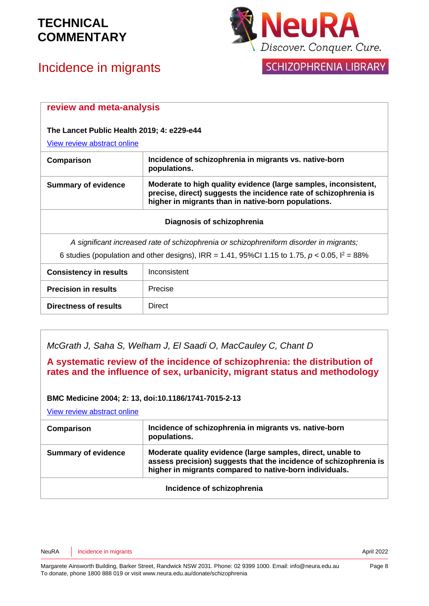

# Incidence in migrants



### SCHIZOPHRENIA LIBRARY

| review and meta-analysis<br>The Lancet Public Health 2019; 4: e229-e44                              |                                                                                                                                                                                            |
|-----------------------------------------------------------------------------------------------------|--------------------------------------------------------------------------------------------------------------------------------------------------------------------------------------------|
|                                                                                                     |                                                                                                                                                                                            |
| Comparison                                                                                          | Incidence of schizophrenia in migrants vs. native-born<br>populations.                                                                                                                     |
| <b>Summary of evidence</b>                                                                          | Moderate to high quality evidence (large samples, inconsistent,<br>precise, direct) suggests the incidence rate of schizophrenia is<br>higher in migrants than in native-born populations. |
|                                                                                                     | Diagnosis of schizophrenia                                                                                                                                                                 |
| A significant increased rate of schizophrenia or schizophreniform disorder in migrants;             |                                                                                                                                                                                            |
| 6 studies (population and other designs), IRR = 1.41, 95%CI 1.15 to 1.75, $p < 0.05$ , $l^2 = 88\%$ |                                                                                                                                                                                            |
| <b>Consistency in results</b>                                                                       | Inconsistent                                                                                                                                                                               |
| <b>Precision in results</b>                                                                         | Precise                                                                                                                                                                                    |
| <b>Directness of results</b><br><b>Direct</b>                                                       |                                                                                                                                                                                            |

*McGrath J, Saha S, Welham J, El Saadi O, MacCauley C, Chant D*

**A systematic review of the incidence of schizophrenia: the distribution of rates and the influence of sex, urbanicity, migrant status and methodology**

#### **BMC Medicine 2004; 2: 13, doi:10.1186/1741-7015-2-13**

[View review abstract online](http://www.biomedcentral.com/1741-7015/2/13/abstract) 

| Comparison                 | Incidence of schizophrenia in migrants vs. native-born<br>populations.                                                                                                                      |
|----------------------------|---------------------------------------------------------------------------------------------------------------------------------------------------------------------------------------------|
| <b>Summary of evidence</b> | Moderate quality evidence (large samples, direct, unable to<br>assess precision) suggests that the incidence of schizophrenia is<br>higher in migrants compared to native-born individuals. |
|                            |                                                                                                                                                                                             |

#### **Incidence of schizophrenia**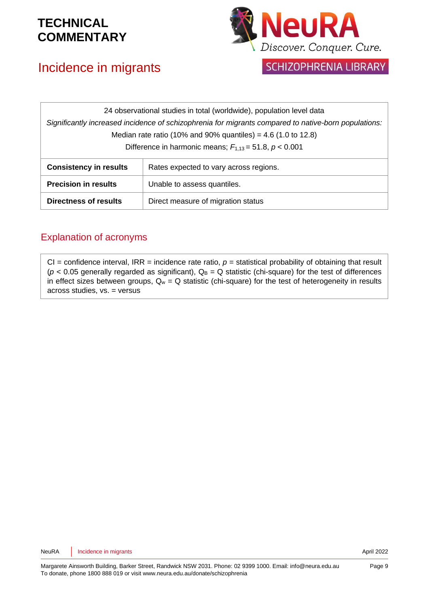# Incidence in migrants



SCHIZOPHRENIA LIBRARY

| 24 observational studies in total (worldwide), population level data                                 |                                        |
|------------------------------------------------------------------------------------------------------|----------------------------------------|
| Significantly increased incidence of schizophrenia for migrants compared to native-born populations: |                                        |
| Median rate ratio (10% and 90% quantiles) = 4.6 (1.0 to 12.8)                                        |                                        |
| Difference in harmonic means; $F_{1,13} = 51.8$ , $p < 0.001$                                        |                                        |
| <b>Consistency in results</b>                                                                        | Rates expected to vary across regions. |
| <b>Precision in results</b>                                                                          | Unable to assess quantiles.            |
| Directness of results                                                                                | Direct measure of migration status     |

### Explanation of acronyms

 $CI =$  confidence interval, IRR = incidence rate ratio,  $p =$  statistical probability of obtaining that result  $(p < 0.05$  generally regarded as significant),  $Q_B = Q$  statistic (chi-square) for the test of differences in effect sizes between groups,  $Q_w = Q$  statistic (chi-square) for the test of heterogeneity in results across studies, vs. = versus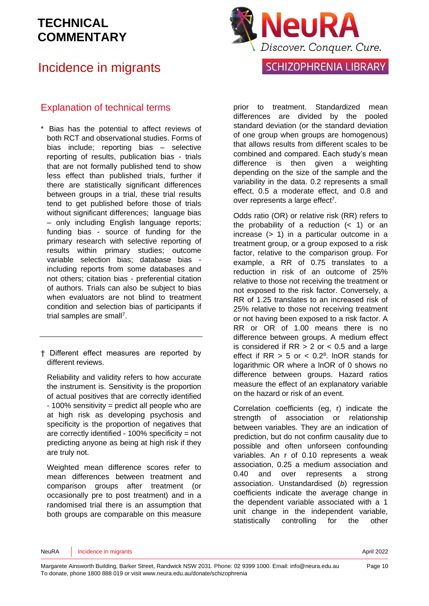## Incidence in migrants



### Explanation of technical terms

- \* Bias has the potential to affect reviews of both RCT and observational studies. Forms of bias include; reporting bias – selective reporting of results, publication bias - trials that are not formally published tend to show less effect than published trials, further if there are statistically significant differences between groups in a trial, these trial results tend to get published before those of trials without significant differences; language bias – only including English language reports; funding bias - source of funding for the primary research with selective reporting of results within primary studies; outcome variable selection bias; database bias including reports from some databases and not others; citation bias - preferential citation of authors. Trials can also be subject to bias when evaluators are not blind to treatment condition and selection bias of participants if trial samples are sma[ll](#page-11-3)<sup>7</sup>.
- † Different effect measures are reported by different reviews.

Reliability and validity refers to how accurate the instrument is. Sensitivity is the proportion of actual positives that are correctly identified - 100% sensitivity = predict all people who are at high risk as developing psychosis and specificity is the proportion of negatives that are correctly identified - 100% specificity = not predicting anyone as being at high risk if they are truly not.

Weighted mean difference scores refer to mean differences between treatment and comparison groups after treatment (or occasionally pre to post treatment) and in a randomised trial there is an assumption that both groups are comparable on this measure prior to treatment. Standardized mean differences are divided by the pooled standard deviation (or the standard deviation of one group when groups are homogenous) that allows results from different scales to be combined and compared. Each study's mean difference is then given a weighting depending on the size of the sample and the variability in the data. 0.2 represents a small effect, 0.5 a moderate effect, and 0.8 and over represen[t](#page-11-3)s a large effect<sup>7</sup>.

Odds ratio (OR) or relative risk (RR) refers to the probability of a reduction  $($   $<$  1) or an increase (> 1) in a particular outcome in a treatment group, or a group exposed to a risk factor, relative to the comparison group. For example, a RR of 0.75 translates to a reduction in risk of an outcome of 25% relative to those not receiving the treatment or not exposed to the risk factor. Conversely, a RR of 1.25 translates to an increased risk of 25% relative to those not receiving treatment or not having been exposed to a risk factor. A RR or OR of 1.00 means there is no difference between groups. A medium effect is considered if  $RR > 2$  or  $< 0.5$  and a large effect if  $RR > 5$  or  $< 0.2<sup>8</sup>$  $< 0.2<sup>8</sup>$  $< 0.2<sup>8</sup>$ . InOR stands for logarithmic OR where a lnOR of 0 shows no difference between groups. Hazard ratios measure the effect of an explanatory variable on the hazard or risk of an event.

Correlation coefficients (eg, r) indicate the strength of association or relationship between variables. They are an indication of prediction, but do not confirm causality due to possible and often unforseen confounding variables. An r of 0.10 represents a weak association, 0.25 a medium association and 0.40 and over represents a strong association. Unstandardised (*b*) regression coefficients indicate the average change in the dependent variable associated with a 1 unit change in the independent variable, statistically controlling for the other

Page 10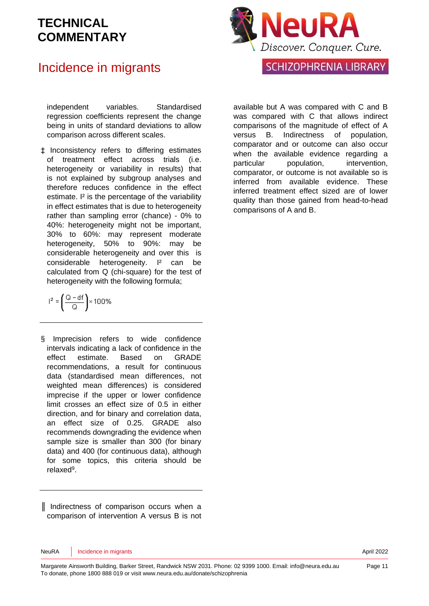### Incidence in migrants

independent variables. Standardised regression coefficients represent the change being in units of standard deviations to allow comparison across different scales.

‡ Inconsistency refers to differing estimates of treatment effect across trials (i.e. heterogeneity or variability in results) that is not explained by subgroup analyses and therefore reduces confidence in the effect estimate. <sup>12</sup> is the percentage of the variability in effect estimates that is due to heterogeneity rather than sampling error (chance) - 0% to 40%: heterogeneity might not be important, 30% to 60%: may represent moderate heterogeneity, 50% to 90%: may be considerable heterogeneity and over this is considerable heterogeneity. I² can be calculated from Q (chi-square) for the test of heterogeneity with the following formula;

$$
l^2=\left(\frac{Q-df}{Q}\right)\times 100\%
$$

§ Imprecision refers to wide confidence intervals indicating a lack of confidence in the effect estimate. Based on GRADE recommendations, a result for continuous data (standardised mean differences, not weighted mean differences) is considered imprecise if the upper or lower confidence limit crosses an effect size of 0.5 in either direction, and for binary and correlation data, an effect size of 0.25. GRADE also recommends downgrading the evidence when sample size is smaller than 300 (for binary data) and 400 (for continuous data), although for some topics, this criteria should be relaxe[d](#page-11-5)<sup>9</sup>.

║ Indirectness of comparison occurs when a comparison of intervention A versus B is not



available but A was compared with C and B was compared with C that allows indirect comparisons of the magnitude of effect of A versus B. Indirectness of population, comparator and or outcome can also occur when the available evidence regarding a particular population, intervention, comparator, or outcome is not available so is inferred from available evidence. These inferred treatment effect sized are of lower quality than those gained from head-to-head comparisons of A and B.